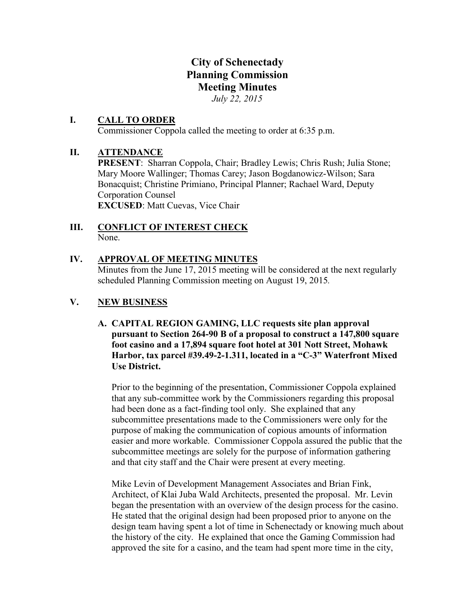# **City of Schenectady Planning Commission Meeting Minutes** *July 22, 2015*

### **I. CALL TO ORDER**

Commissioner Coppola called the meeting to order at 6:35 p.m.

### **II. ATTENDANCE**

**PRESENT**: Sharran Coppola, Chair; Bradley Lewis; Chris Rush; Julia Stone; Mary Moore Wallinger; Thomas Carey; Jason Bogdanowicz-Wilson; Sara Bonacquist; Christine Primiano, Principal Planner; Rachael Ward, Deputy Corporation Counsel **EXCUSED**: Matt Cuevas, Vice Chair

### **III. CONFLICT OF INTEREST CHECK** None.

### **IV. APPROVAL OF MEETING MINUTES**

Minutes from the June 17, 2015 meeting will be considered at the next regularly scheduled Planning Commission meeting on August 19, 2015*.*

### **V. NEW BUSINESS**

**A. CAPITAL REGION GAMING, LLC requests site plan approval pursuant to Section 264-90 B of a proposal to construct a 147,800 square foot casino and a 17,894 square foot hotel at 301 Nott Street, Mohawk Harbor, tax parcel #39.49-2-1.311, located in a "C-3" Waterfront Mixed Use District.**

Prior to the beginning of the presentation, Commissioner Coppola explained that any sub-committee work by the Commissioners regarding this proposal had been done as a fact-finding tool only. She explained that any subcommittee presentations made to the Commissioners were only for the purpose of making the communication of copious amounts of information easier and more workable. Commissioner Coppola assured the public that the subcommittee meetings are solely for the purpose of information gathering and that city staff and the Chair were present at every meeting.

Mike Levin of Development Management Associates and Brian Fink, Architect, of Klai Juba Wald Architects, presented the proposal. Mr. Levin began the presentation with an overview of the design process for the casino. He stated that the original design had been proposed prior to anyone on the design team having spent a lot of time in Schenectady or knowing much about the history of the city. He explained that once the Gaming Commission had approved the site for a casino, and the team had spent more time in the city,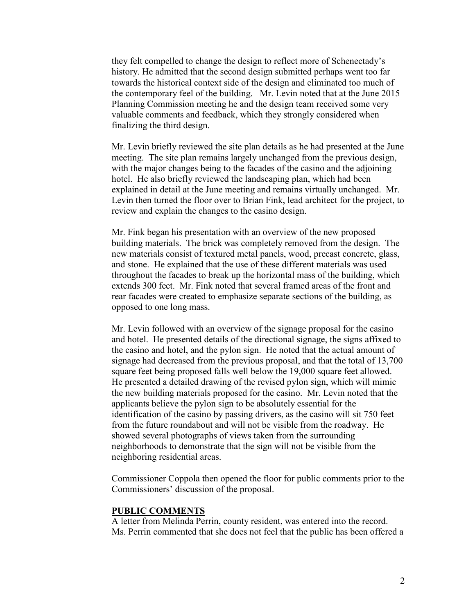they felt compelled to change the design to reflect more of Schenectady's history. He admitted that the second design submitted perhaps went too far towards the historical context side of the design and eliminated too much of the contemporary feel of the building. Mr. Levin noted that at the June 2015 Planning Commission meeting he and the design team received some very valuable comments and feedback, which they strongly considered when finalizing the third design.

Mr. Levin briefly reviewed the site plan details as he had presented at the June meeting. The site plan remains largely unchanged from the previous design, with the major changes being to the facades of the casino and the adjoining hotel. He also briefly reviewed the landscaping plan, which had been explained in detail at the June meeting and remains virtually unchanged. Mr. Levin then turned the floor over to Brian Fink, lead architect for the project, to review and explain the changes to the casino design.

Mr. Fink began his presentation with an overview of the new proposed building materials. The brick was completely removed from the design. The new materials consist of textured metal panels, wood, precast concrete, glass, and stone. He explained that the use of these different materials was used throughout the facades to break up the horizontal mass of the building, which extends 300 feet. Mr. Fink noted that several framed areas of the front and rear facades were created to emphasize separate sections of the building, as opposed to one long mass.

Mr. Levin followed with an overview of the signage proposal for the casino and hotel. He presented details of the directional signage, the signs affixed to the casino and hotel, and the pylon sign. He noted that the actual amount of signage had decreased from the previous proposal, and that the total of 13,700 square feet being proposed falls well below the 19,000 square feet allowed. He presented a detailed drawing of the revised pylon sign, which will mimic the new building materials proposed for the casino. Mr. Levin noted that the applicants believe the pylon sign to be absolutely essential for the identification of the casino by passing drivers, as the casino will sit 750 feet from the future roundabout and will not be visible from the roadway. He showed several photographs of views taken from the surrounding neighborhoods to demonstrate that the sign will not be visible from the neighboring residential areas.

Commissioner Coppola then opened the floor for public comments prior to the Commissioners' discussion of the proposal.

#### **PUBLIC COMMENTS**

A letter from Melinda Perrin, county resident, was entered into the record. Ms. Perrin commented that she does not feel that the public has been offered a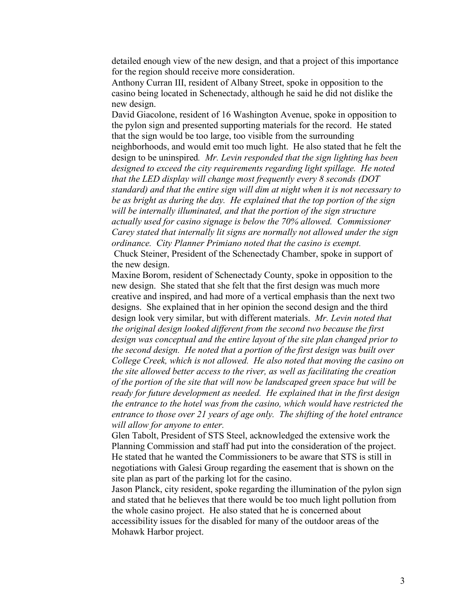detailed enough view of the new design, and that a project of this importance for the region should receive more consideration.

Anthony Curran III, resident of Albany Street, spoke in opposition to the casino being located in Schenectady, although he said he did not dislike the new design.

David Giacolone, resident of 16 Washington Avenue, spoke in opposition to the pylon sign and presented supporting materials for the record. He stated that the sign would be too large, too visible from the surrounding neighborhoods, and would emit too much light. He also stated that he felt the design to be uninspired*. Mr. Levin responded that the sign lighting has been designed to exceed the city requirements regarding light spillage. He noted that the LED display will change most frequently every 8 seconds (DOT standard) and that the entire sign will dim at night when it is not necessary to be as bright as during the day. He explained that the top portion of the sign will be internally illuminated, and that the portion of the sign structure actually used for casino signage is below the 70% allowed. Commissioner Carey stated that internally lit signs are normally not allowed under the sign ordinance. City Planner Primiano noted that the casino is exempt.*

Chuck Steiner, President of the Schenectady Chamber, spoke in support of the new design.

Maxine Borom, resident of Schenectady County, spoke in opposition to the new design. She stated that she felt that the first design was much more creative and inspired, and had more of a vertical emphasis than the next two designs. She explained that in her opinion the second design and the third design look very similar, but with different materials. *Mr. Levin noted that the original design looked different from the second two because the first design was conceptual and the entire layout of the site plan changed prior to the second design. He noted that a portion of the first design was built over College Creek, which is not allowed. He also noted that moving the casino on the site allowed better access to the river, as well as facilitating the creation of the portion of the site that will now be landscaped green space but will be ready for future development as needed. He explained that in the first design the entrance to the hotel was from the casino, which would have restricted the entrance to those over 21 years of age only. The shifting of the hotel entrance will allow for anyone to enter.*

Glen Tabolt, President of STS Steel, acknowledged the extensive work the Planning Commission and staff had put into the consideration of the project. He stated that he wanted the Commissioners to be aware that STS is still in negotiations with Galesi Group regarding the easement that is shown on the site plan as part of the parking lot for the casino.

Jason Planck, city resident, spoke regarding the illumination of the pylon sign and stated that he believes that there would be too much light pollution from the whole casino project. He also stated that he is concerned about accessibility issues for the disabled for many of the outdoor areas of the Mohawk Harbor project.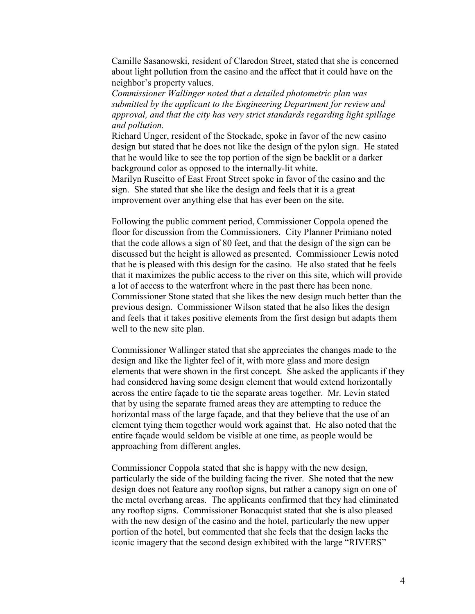Camille Sasanowski, resident of Claredon Street, stated that she is concerned about light pollution from the casino and the affect that it could have on the neighbor's property values.

*Commissioner Wallinger noted that a detailed photometric plan was submitted by the applicant to the Engineering Department for review and approval, and that the city has very strict standards regarding light spillage and pollution.*

Richard Unger, resident of the Stockade, spoke in favor of the new casino design but stated that he does not like the design of the pylon sign. He stated that he would like to see the top portion of the sign be backlit or a darker background color as opposed to the internally-lit white.

Marilyn Ruscitto of East Front Street spoke in favor of the casino and the sign. She stated that she like the design and feels that it is a great improvement over anything else that has ever been on the site.

Following the public comment period, Commissioner Coppola opened the floor for discussion from the Commissioners. City Planner Primiano noted that the code allows a sign of 80 feet, and that the design of the sign can be discussed but the height is allowed as presented. Commissioner Lewis noted that he is pleased with this design for the casino. He also stated that he feels that it maximizes the public access to the river on this site, which will provide a lot of access to the waterfront where in the past there has been none. Commissioner Stone stated that she likes the new design much better than the previous design. Commissioner Wilson stated that he also likes the design and feels that it takes positive elements from the first design but adapts them well to the new site plan.

Commissioner Wallinger stated that she appreciates the changes made to the design and like the lighter feel of it, with more glass and more design elements that were shown in the first concept. She asked the applicants if they had considered having some design element that would extend horizontally across the entire façade to tie the separate areas together. Mr. Levin stated that by using the separate framed areas they are attempting to reduce the horizontal mass of the large façade, and that they believe that the use of an element tying them together would work against that. He also noted that the entire façade would seldom be visible at one time, as people would be approaching from different angles.

Commissioner Coppola stated that she is happy with the new design, particularly the side of the building facing the river. She noted that the new design does not feature any rooftop signs, but rather a canopy sign on one of the metal overhang areas. The applicants confirmed that they had eliminated any rooftop signs. Commissioner Bonacquist stated that she is also pleased with the new design of the casino and the hotel, particularly the new upper portion of the hotel, but commented that she feels that the design lacks the iconic imagery that the second design exhibited with the large "RIVERS"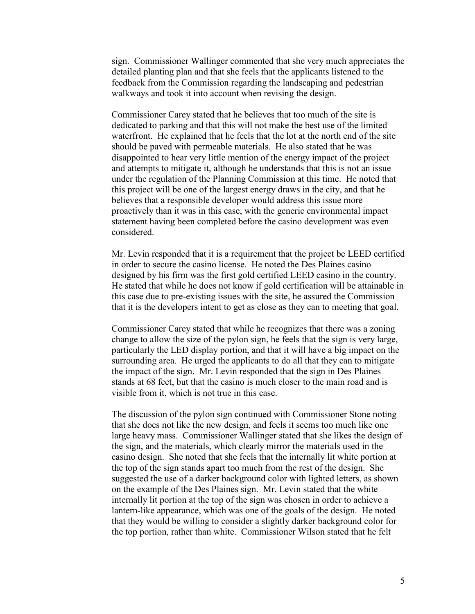sign. Commissioner Wallinger commented that she very much appreciates the detailed planting plan and that she feels that the applicants listened to the feedback from the Commission regarding the landscaping and pedestrian walkways and took it into account when revising the design.

Commissioner Carey stated that he believes that too much of the site is dedicated to parking and that this will not make the best use of the limited waterfront. He explained that he feels that the lot at the north end of the site should be paved with permeable materials. He also stated that he was disappointed to hear very little mention of the energy impact of the project and attempts to mitigate it, although he understands that this is not an issue under the regulation of the Planning Commission at this time. He noted that this project will be one of the largest energy draws in the city, and that he believes that a responsible developer would address this issue more proactively than it was in this case, with the generic environmental impact statement having been completed before the casino development was even considered.

Mr. Levin responded that it is a requirement that the project be LEED certified in order to secure the casino license. He noted the Des Plaines casino designed by his firm was the first gold certified LEED casino in the country. He stated that while he does not know if gold certification will be attainable in this case due to pre-existing issues with the site, he assured the Commission that it is the developers intent to get as close as they can to meeting that goal.

Commissioner Carey stated that while he recognizes that there was a zoning change to allow the size of the pylon sign, he feels that the sign is very large, particularly the LED display portion, and that it will have a big impact on the surrounding area. He urged the applicants to do all that they can to mitigate the impact of the sign. Mr. Levin responded that the sign in Des Plaines stands at 68 feet, but that the casino is much closer to the main road and is visible from it, which is not true in this case.

The discussion of the pylon sign continued with Commissioner Stone noting that she does not like the new design, and feels it seems too much like one large heavy mass. Commissioner Wallinger stated that she likes the design of the sign, and the materials, which clearly mirror the materials used in the casino design. She noted that she feels that the internally lit white portion at the top of the sign stands apart too much from the rest of the design. She suggested the use of a darker background color with lighted letters, as shown on the example of the Des Plaines sign. Mr. Levin stated that the white internally lit portion at the top of the sign was chosen in order to achieve a lantern-like appearance, which was one of the goals of the design. He noted that they would be willing to consider a slightly darker background color for the top portion, rather than white. Commissioner Wilson stated that he felt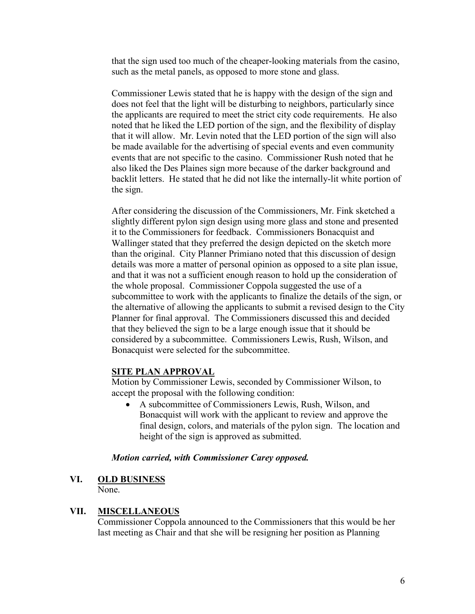that the sign used too much of the cheaper-looking materials from the casino, such as the metal panels, as opposed to more stone and glass.

Commissioner Lewis stated that he is happy with the design of the sign and does not feel that the light will be disturbing to neighbors, particularly since the applicants are required to meet the strict city code requirements. He also noted that he liked the LED portion of the sign, and the flexibility of display that it will allow. Mr. Levin noted that the LED portion of the sign will also be made available for the advertising of special events and even community events that are not specific to the casino. Commissioner Rush noted that he also liked the Des Plaines sign more because of the darker background and backlit letters. He stated that he did not like the internally-lit white portion of the sign.

After considering the discussion of the Commissioners, Mr. Fink sketched a slightly different pylon sign design using more glass and stone and presented it to the Commissioners for feedback. Commissioners Bonacquist and Wallinger stated that they preferred the design depicted on the sketch more than the original. City Planner Primiano noted that this discussion of design details was more a matter of personal opinion as opposed to a site plan issue, and that it was not a sufficient enough reason to hold up the consideration of the whole proposal. Commissioner Coppola suggested the use of a subcommittee to work with the applicants to finalize the details of the sign, or the alternative of allowing the applicants to submit a revised design to the City Planner for final approval. The Commissioners discussed this and decided that they believed the sign to be a large enough issue that it should be considered by a subcommittee. Commissioners Lewis, Rush, Wilson, and Bonacquist were selected for the subcommittee.

## **SITE PLAN APPROVAL**

Motion by Commissioner Lewis, seconded by Commissioner Wilson, to accept the proposal with the following condition:

 A subcommittee of Commissioners Lewis, Rush, Wilson, and Bonacquist will work with the applicant to review and approve the final design, colors, and materials of the pylon sign. The location and height of the sign is approved as submitted.

### *Motion carried, with Commissioner Carey opposed.*

#### **VI. OLD BUSINESS** None.

## **VII. MISCELLANEOUS**

Commissioner Coppola announced to the Commissioners that this would be her last meeting as Chair and that she will be resigning her position as Planning